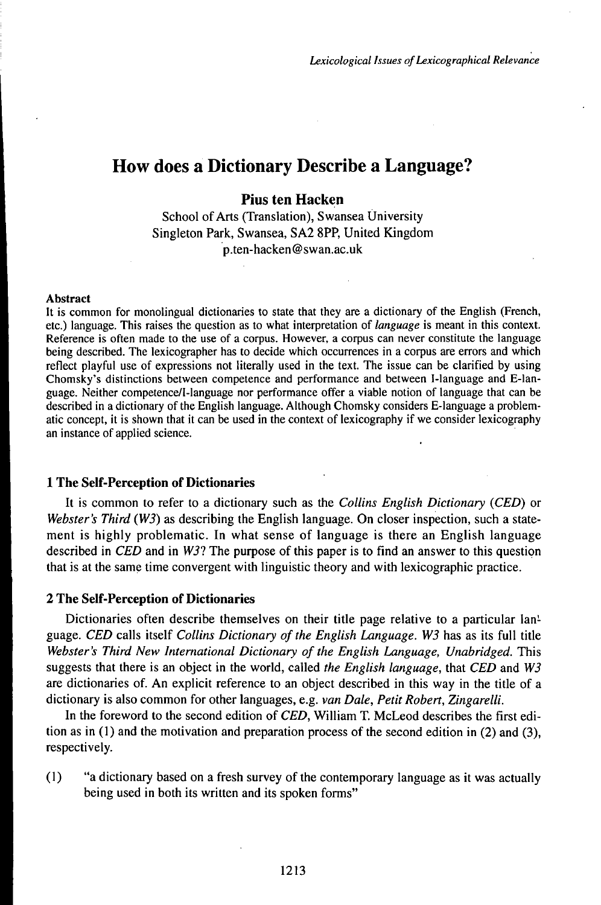# How does a Dictionary Describe a Language?

## **Pius ten Hacken**

School of Arts (Translation), Swansea University Singleton Park, Swansea, SA2 8PP, United Kingdom p.ten-hacken@swan.ac.uk

#### Abstract

It is common for monolingual dictionaries to state that they are a dictionary of the English (French, etc.) language. This raises the question as to what interpretation of *language* is meant in this context. Reference is often made to the use of a corpus. However, a corpus can never constitute the language being described. The lexicographer has to decide which occurrences in a corpus are errors and which reflect playful use of expressions not literally used in the text. The issue can be clarified by using Chomsky's distinctions between competence and performance and between I-language and E-language. Neither competence/1-language nor performance offer a viable notion of language that can be described in a dictionary of the English language. Although Chomsky considers E-language a problematic concept, it is shown that it can be used in the context of lexicography if we consider lexicography an instance of applied science.

#### **1 The Self-Perception of Dictionaries**

It is common to refer to a dictionary such as the *Collins English Dictionary (CED)* or *Webster's Third (W3)* as describing the English language. On closer inspection, such a statement is highly problematic. In what sense of language is there an English language described in *CED* and in *W31* The purpose of this paper is to find an answer to this question that is at the same time convergent with linguistic theory and with lexicographic practice.

#### 2 The **Self-Perception of** Dictionaries

Dictionaries often describe themselves on their title page relative to a particular language. *CED* calls itself *Collins Dictionary of the English Language*. W3 has as its full title *Webster's Third New International Dictionary ofthe English Language, Unabridged.* This suggests that there is an object in the world, called *the English language,* that *CED* and *W3* are dictionaries of. An explicit reference to an object described in this way in the title of a dictionary is also common for other languages, e.g. *van Dale, Petit Robert, Zingarelli.*

In the foreword to the second edition of *CED,* William T. McLeod describes the first edition as in  $(1)$  and the motivation and preparation process of the second edition in  $(2)$  and  $(3)$ , respectively.

(1) "a dictionary based on a fresh survey of the contemporary language as it was actually being used in both its written and its spoken forms"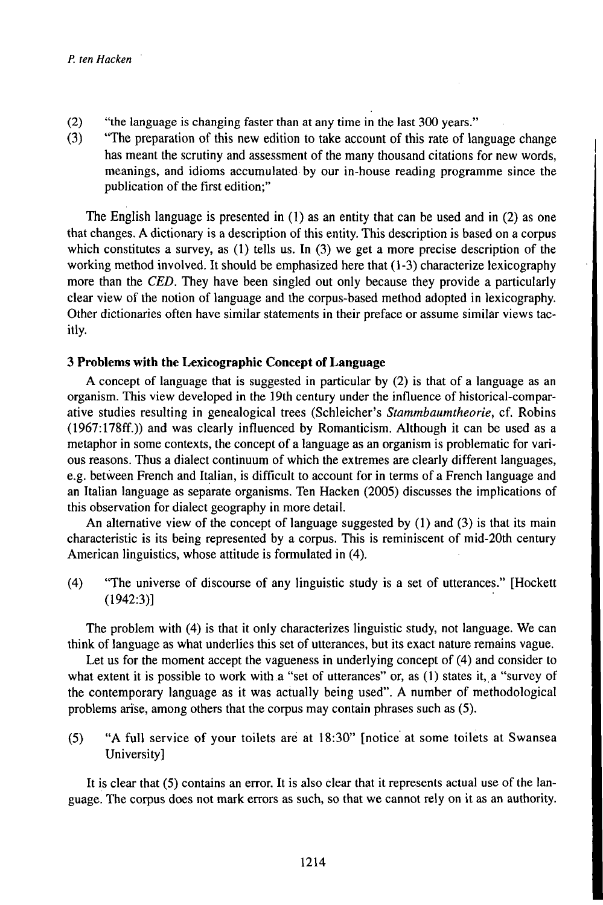- (2) "the language is changing faster than at any time in the last 300 years."
- (3) "The preparation of this new edition to take account of this rate of language change has meant the scrutiny and assessment of the many thousand citations for new words, meanings, and idioms accumulated by our in-house reading programme since the publication of the first edition;"

The English language is presented in (1) as an entity that can be used and in (2) as one that changes. A dictionary is a description of this entity. This description is based on a corpus which constitutes a survey, as (1) tells us. In (3) we get a more precise description of the working method involved. It should be emphasized here that  $(1-3)$  characterize lexicography more than the *CED.* They have been singled out only because they provide a particularly clear view of the notion of language and the corpus-based method adopted in lexicography. Other dictionaries often have similar statements in their preface or assume similar views tacitly.

## **3 Problems with the Lexicographic Concept ofLanguage**

A concept of language that is suggested in particular by (2) is that of a language as an organism. This view developed in the 19th century under the influence of historical-comparative studies resulting in genealogical trees (Schleicher's *Stammbaumtheorie,* cf. Robins (1967:178ff.)) and was clearly influenced by Romanticism. Although it can be used as a metaphor in some contexts, the concept of a language as an organism is problematic for various reasons. Thus a dialect continuum of which the extremes are clearly different languages, e.g. between French and Italian, is difficult to account for in terms of a French language and an Italian language as separate organisms. Ten Hacken (2005) discusses the implications of this observation for dialect geography in more detail.

An alternative view of the concept of language suggested by  $(1)$  and  $(3)$  is that its main characteristic is its being represented by a corpus. This is reminiscent of mid-20th century American linguistics, whose attitude is formulated in (4).

(4) "The universe of discourse of any linguistic study is a set of utterances." [Hockett (1942:3)]

The problem with (4) is that it only characterizes linguistic study, not language. We can think of language as what underlies this set of utterances, but its exact nature remains vague.

Let us for the moment accept the vagueness in underlying concept of (4) and consider to what extent it is possible to work with a "set of utterances" or, as  $(1)$  states it, a "survey of the contemporary language as it was actually being used". A number of methodological problems arise, among others that the corpus may contain phrases such as (5).

(5) "A full service of your toilets are at 18:30" [notice at some toilets at Swansea University]

It is clear that (5) contains an error. It is also clear that it represents actual use of the language. The corpus does not mark errors as such, so that we cannot rely on it as an authority.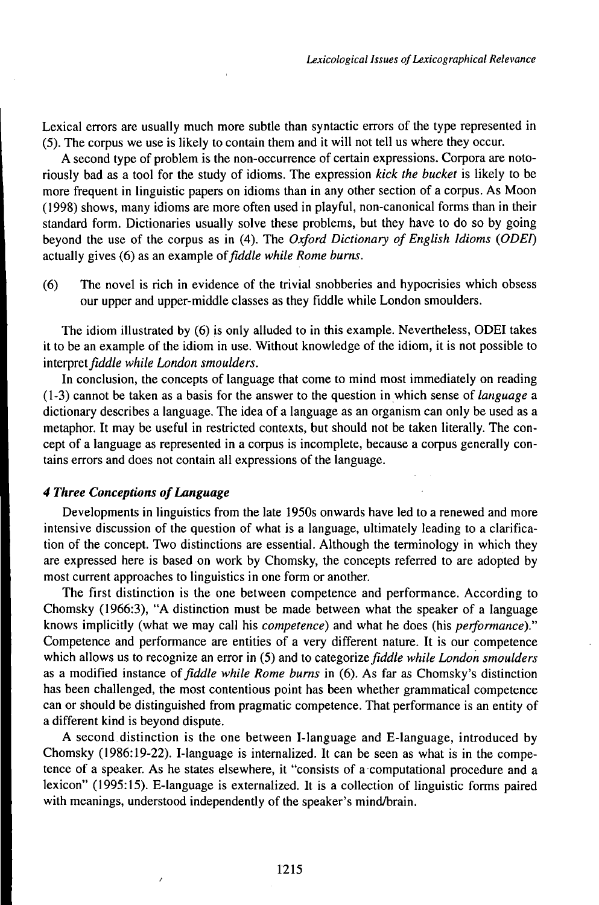Lexical errors are usually much more subtle than syntactic errors of the type represented in (5). The corpus we use is likely to contain them and it will not tell us where they occur.

A second type of problem is the non-occurrence of certain expressions. Corpora are notoriously bad as a tool for the study of idioms. The expression *kick the bucket* is likely to be more frequent in linguistic papers on idioms than in any other section of a corpus. As Moon (1998) shows, many idioms are more often used in playful, non-canonical forms than in their standard form. Dictionaries usually solve these problems, but they have to do so by going beyond the use of the corpus as in (4). The *Oxford Dictionary of English Idioms (ODEf)* actually gives (6) as an example *oifiddle while Rome burns.*

(6) The novel is rich in evidence of the trivial snobberies and hypocrisies which obsess our upper and upper-middle classes as they fiddle while London smoulders.

The idiom illustrated by (6) is only alluded to in this example. Nevertheless, ODEI takes it to be an example of the idiom in use. Without knowledge of the idiom, it is not possible to interpret^ćtó/e *while London smoulders.*

In conclusion, the concepts of language that come to mind most immediately on reading (1-3) cannot be taken as a basis for the answer to the question inwhich sense of *language* a dictionary describes a language. The idea of a language as an organism can only be used as a metaphor. It may be useful in restricted contexts, but should not be taken literally. The concept of a language as represented in a corpus is incomplete, because a corpus generally contains errors and does not contain all expressions of the language.

### *4 Three Conceptions ofLanguage*

Developments in linguistics from the late 1950s onwards have led to a renewed and more intensive discussion of the question of what is a language, ultimately leading to a clarification of the concept. Two distinctions are essential. Although the terminology in which they are expressed here is based on work by Chomsky, the concepts referred to are adopted by most current approaches to linguistics in one form or another.

The first distinction is the one between competence and performance. According to Chomsky (1966:3), "A distinction must be made between what the speaker of a language knows implicitly (what we may call his *competence)* and what he does (his *performance)."* Competence and performance are entities of a very different nature. It is our competence which allows us to recognize an error in (5) and to *categorizefiddle while London smoulders* as a modified instance *offiddle while Rome burns* in (6). As far as Chomsky's distinction has been challenged, the most contentious point has been whether grammatical competence can or should be distinguished from pragmatic competence. That performance is an entity of a different kind is beyond dispute.

A second distinction is the one between I-language and E-language, introduced by Chomsky (1986:19-22). I-language is internalized. It can be seen as what is in the competence of a speaker. As he states elsewhere, it "consists of a computational procedure and a lexicon" (1995:15). E-language is externalized. It is a collection of linguistic forms paired with meanings, understood independently of the speaker's mind/brain.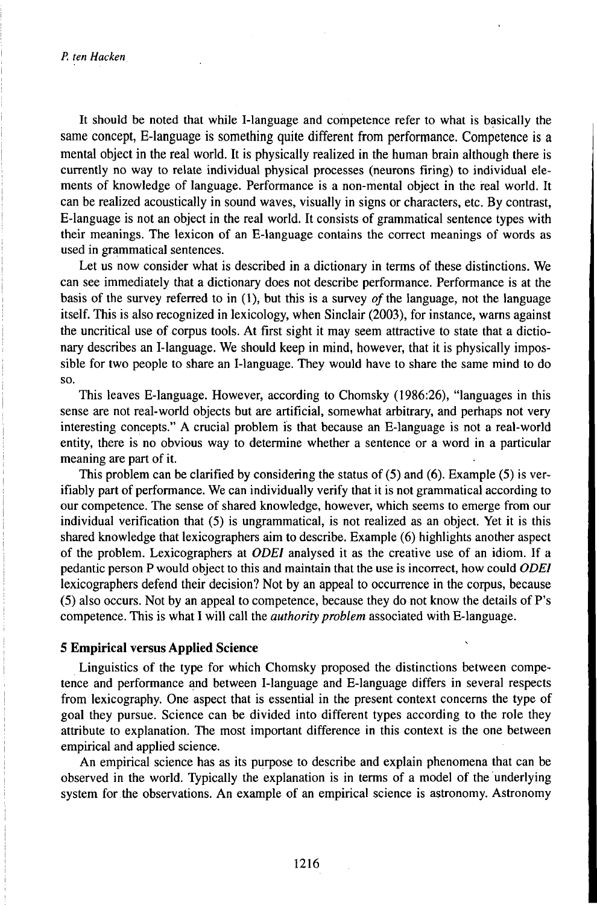It should be noted that while I-language and competence refer to what is basically the same concept, E-language is something quite different from performance. Competence is a mental object in the real world. It is physically realized in the human brain although there is currently no way to relate individual physical processes (neurons firing) to individual elements of knowledge of language. Performance is a non-mental object in the real world. It can be realized acoustically in sound waves, visually in signs or characters, etc. By contrast, E-language is not an object in the real world. It consists of grammatical sentence types with their meanings. The lexicon of an E-language contains the correct meanings of words as used in grammatical sentences.

Let us now consider what is described in a dictionary in terms of these distinctions. We can see immediately that a dictionary does not describe performance. Performance is at the basis of the survey referred to in  $(1)$ , but this is a survey of the language, not the language itself. This is also recognized in lexicology, when Sinclair (2003), for instance, warns against the uncritical use of corpus tools. At first sight it may seem attractive to state that a dictionary describes an I-language. We should keep in mind, however, that it is physically impossible for two people to share an I-language. They would have to share the same mind to do so.

This leaves E-language. However, according to Chomsky (1986:26), "languages in this sense are not real-world objects but are artificial, somewhat arbitrary, and perhaps not very interesting concepts." A crucial problem is that because an E-language is not a real-world entity, there is no obvious way to determine whether a sentence or a word in a particular meaning are part of it.

This problem can be clarified by considering the status of (5) and (6). Example (5) is verifiably part of performance. We can individually verify that it is not grammatical according to our competence. The sense of shared knowledge, however, which seems to emerge from our individual verification that (5) is ungrammatical, is not realized as an object. Yet it is this shared knowledge that lexicographers aim to describe. Example (6) highlights another aspect of the problem. Lexicographers at *ODEI* analysed it as the creative use of an idiom. If a pedantic person P would object to this and maintain that the use is incorrect, how could *ODEI* lexicographers defend their decision? Not by an appeal to occurrence in the corpus, because (5) also occurs. Not by an appeal to competence, because they do not know the details of P's competence. This is what I will call the *authority problem* associated with E-language.

#### **5 Empirical versus Applied Science**

Linguistics of the type for which Chomsky proposed the distinctions between competence and performance and between I-language and E-language differs in several respects from lexicography. One aspect that is essential in the present context concerns the type of goal they pursue. Science can be divided into different types according to the role they attribute to explanation. The most important difference in this context is the one between empirical and applied science.

An empirical science has as its purpose to describe and explain phenomena that can be observed in the world. Typically the explanation is in terms of a model of the underlying system for the observations. An example of an empirical science is astronomy. Astronomy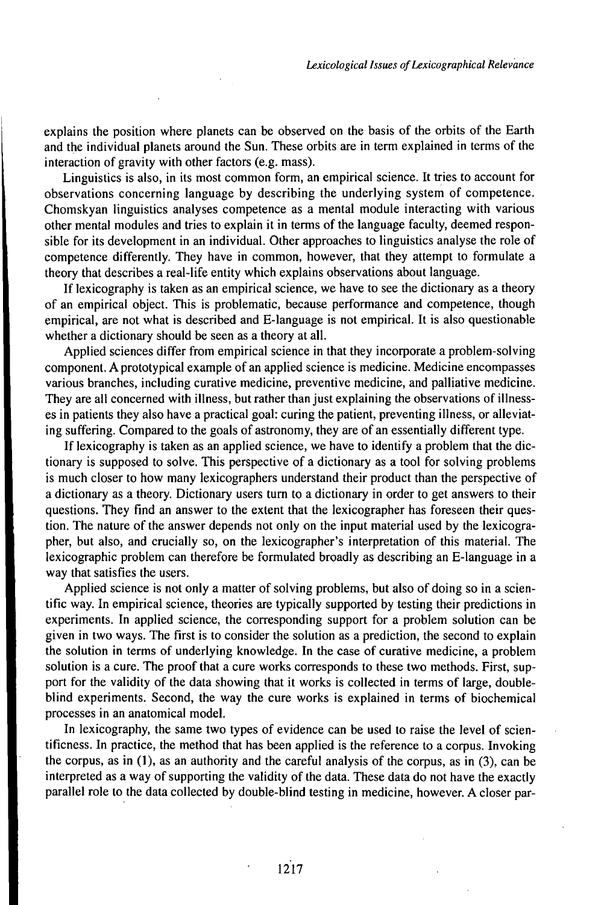explains the position where planets can be observed on the basis of the orbits of the Earth and the individual planets around the Sun. These orbits are in term explained in terms of the interaction of gravity with other factors (e.g. mass).

Linguistics is also, in its most common form, an empirical science. It tries to account for observations concerning language by describing the underlying system of competence. Chomskyan linguistics analyses competence as a mental module interacting with various other mental modules and tries to explain it in terms of the language faculty, deemed responsible for its development in an individual. Other approaches to linguistics analyse the role of competence differently. They have in common, however, that they attempt to formulate a theory that describes a real-life entity which explains observations about language.

If lexicography is taken as an empirical science, we have to see the dictionary as a theory of an empirical object. This is problematic, because performance and competence, though empirical, are not what is described and E-language is not empirical. It is also questionable whether a dictionary should be seen as a theory at all.

Applied sciences differ from empirical science in that they incorporate a problem-solving component. A prototypical example of an applied science is medicine. Medicine encompasses various branches, including curative medicine, preventive medicine, and palliative medicine. They are all concerned with illness, but rather than just explaining the observations of illnesses in patients they also have a practical goal: curing the patient, preventing illness, or alleviating suffering. Compared to the goals of astronomy, they are of an essentially different type.

If lexicography is taken as an applied science, we have to identify a problem that the dictionary is supposed to solve. This perspective of a dictionary as a tool for solving problems is much closer to how many lexicographers understand their product than the perspective of a dictionary as a theory. Dictionary users turn to a dictionary in order to get answers to their questions. They find an answer to the extent that the lexicographer has foreseen their question. The nature of the answer depends not only on the input material used by the lexicographer, but also, and crucially so, on the lexicographer's interpretation of this material. The lexicographic problem can therefore be formulated broadly as describing an E-language in a way that satisfies the users.

Applied science is not only a matter of solving problems, but also of doing so in a scientific way. In empirical science, theories are typically supported by testing their predictions in experiments. In applied science, the corresponding support for a problem solution can be given in two ways. The first is to consider the solution as a prediction, the second to explain the solution in terms of underlying knowledge. In the case of curative medicine, a problem solution is a cure. The proof that a cure works corresponds to these two methods. First, support for the validity of the data showing that it works is collected in terms of large, doubleblind experiments. Second, the way the cure works is explained in terms of biochemical processes in an anatomical model.

In lexicography, the same two types of evidence can be used to raise the level of scientificness. In practice, the method that has been applied is the reference to a corpus. Invoking the corpus, as in (1), as an authority and the careful analysis of the corpus, as in (3), can be interpreted as a way of supporting the validity of the data. These data do not have the exactly parallel role to the data collected by double-blind testing in medicine, however. A closer par